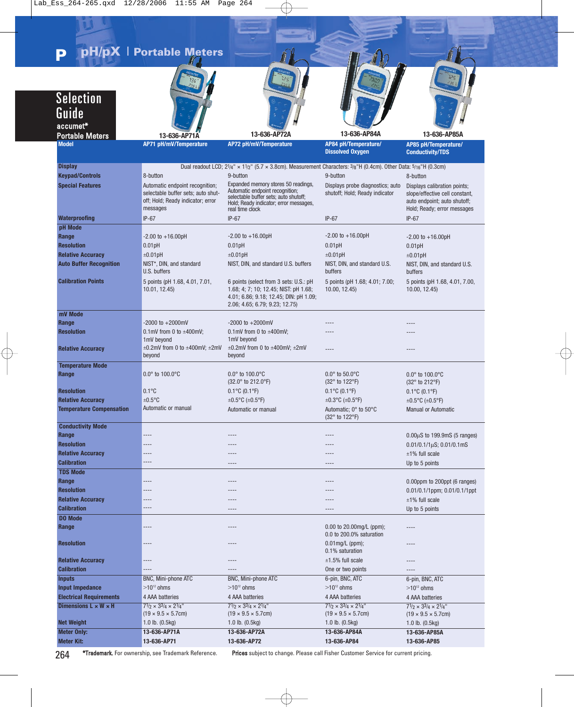